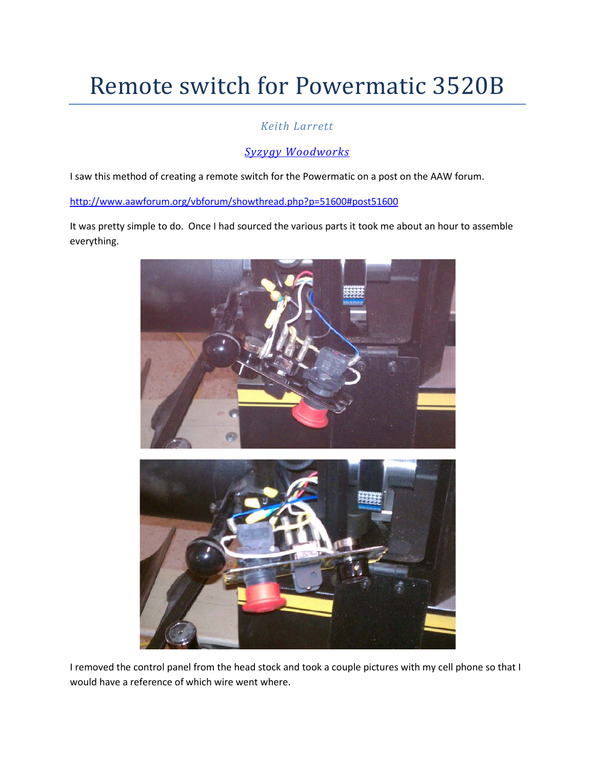## Remote switch for Powermatic 3520B

## *Keith Larrett*

## *[Syzygy Woodworks](http://www.syzygywoodworks.com/)*

I saw this method of creating a remote switch for the Powermatic on a post on the AAW forum.

<http://www.aawforum.org/vbforum/showthread.php?p=51600#post51600>

It was pretty simple to do. Once I had sourced the various parts it took me about an hour to assemble everything.



I removed the control panel from the head stock and took a couple pictures with my cell phone so that I would have a reference of which wire went where.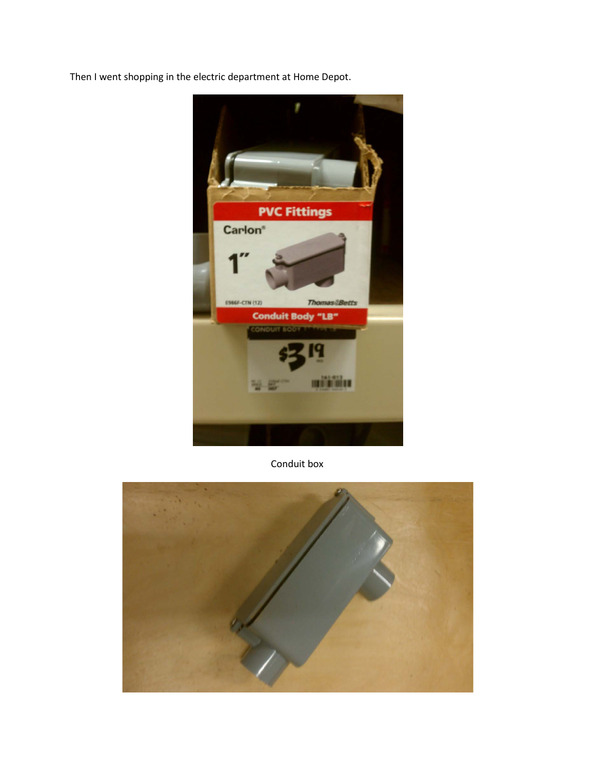Then I went shopping in the electric department at Home Depot.



Conduit box

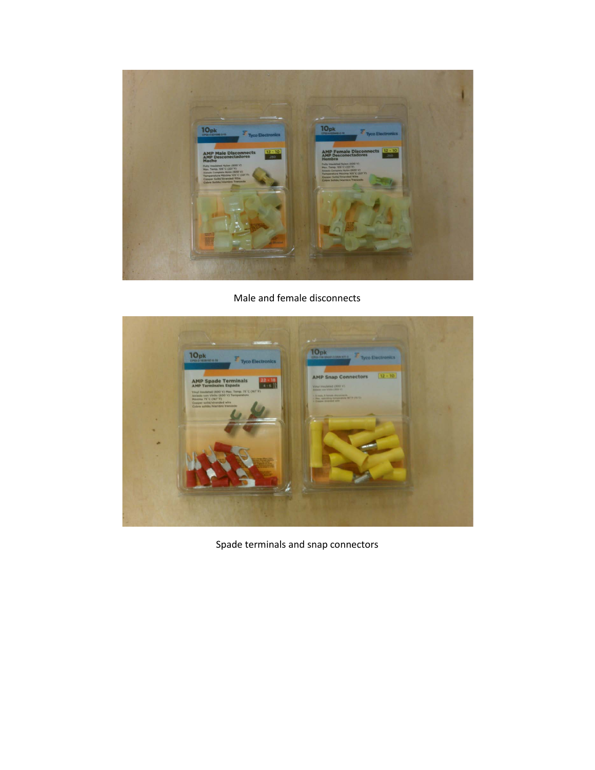

Male and female disconnects



Spade terminals and snap connectors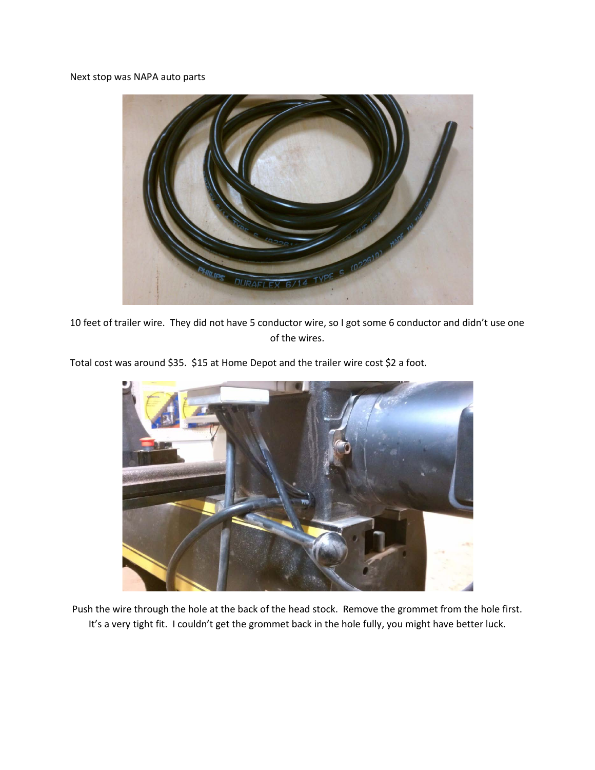Next stop was NAPA auto parts



10 feet of trailer wire. They did not have 5 conductor wire, so I got some 6 conductor and didn't use one of the wires.

Total cost was around \$35. \$15 at Home Depot and the trailer wire cost \$2 a foot.



Push the wire through the hole at the back of the head stock. Remove the grommet from the hole first. It's a very tight fit. I couldn't get the grommet back in the hole fully, you might have better luck.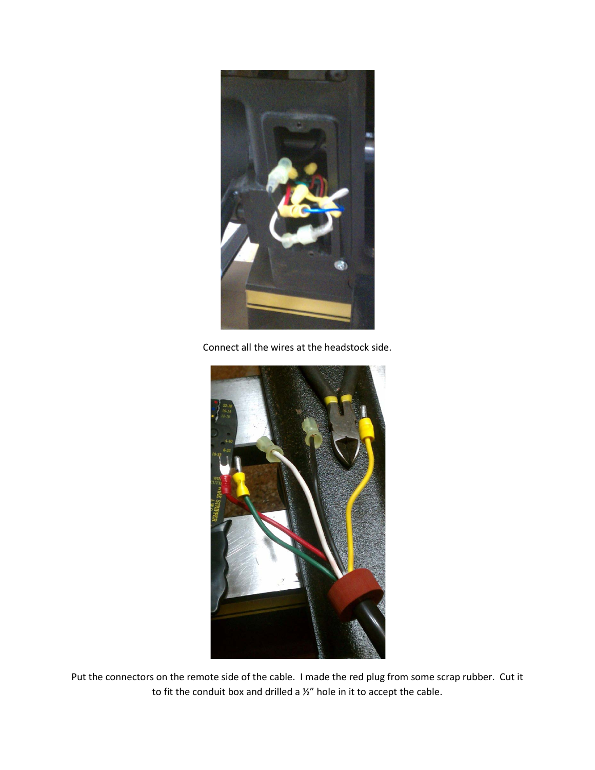

Connect all the wires at the headstock side.



Put the connectors on the remote side of the cable. I made the red plug from some scrap rubber. Cut it to fit the conduit box and drilled a ½" hole in it to accept the cable.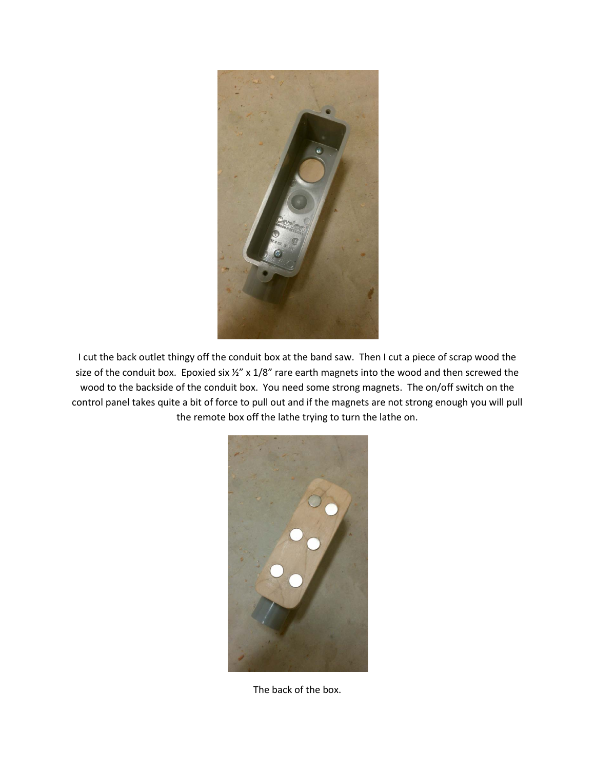

I cut the back outlet thingy off the conduit box at the band saw. Then I cut a piece of scrap wood the size of the conduit box. Epoxied six  $\frac{1}{8}$  x 1/8" rare earth magnets into the wood and then screwed the wood to the backside of the conduit box. You need some strong magnets. The on/off switch on the control panel takes quite a bit of force to pull out and if the magnets are not strong enough you will pull the remote box off the lathe trying to turn the lathe on.



The back of the box.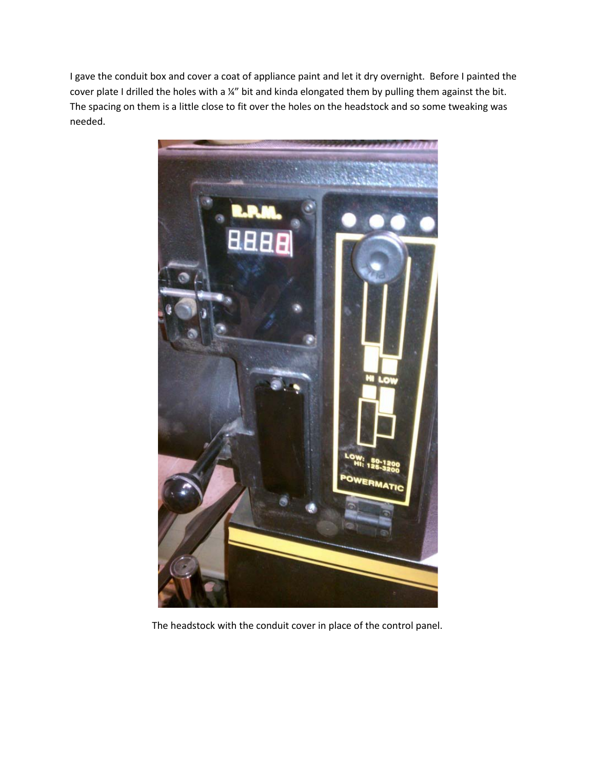I gave the conduit box and cover a coat of appliance paint and let it dry overnight. Before I painted the cover plate I drilled the holes with a ¼" bit and kinda elongated them by pulling them against the bit. The spacing on them is a little close to fit over the holes on the headstock and so some tweaking was needed.



The headstock with the conduit cover in place of the control panel.